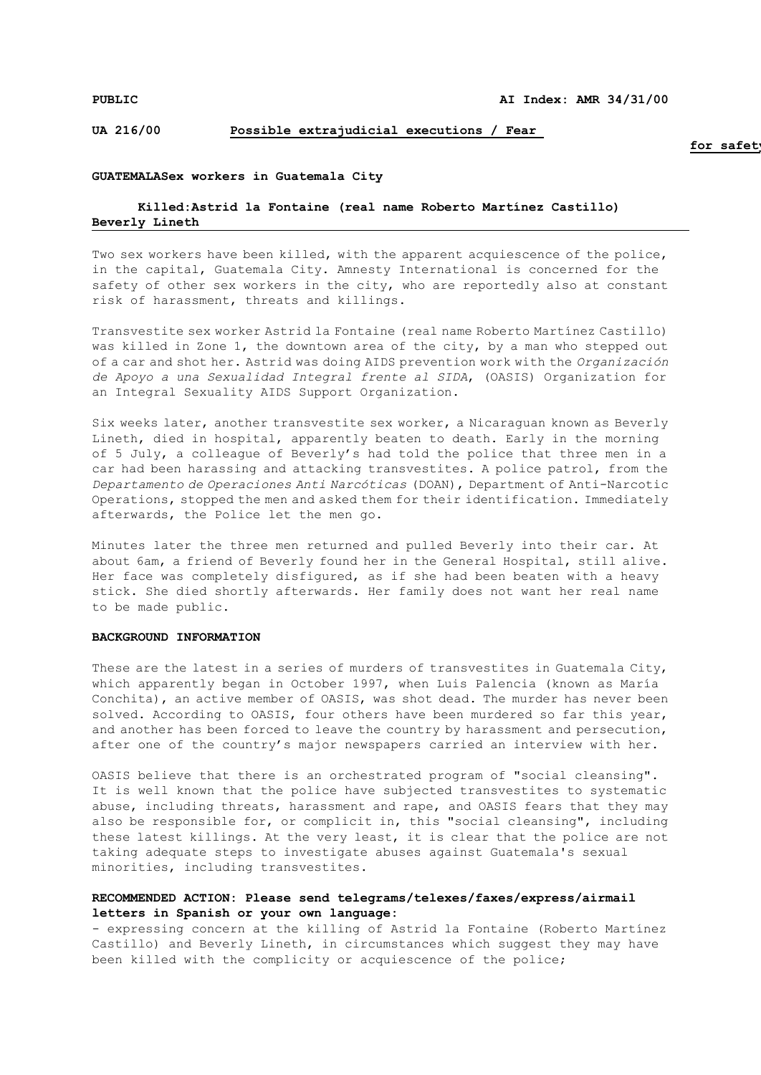## **UA 216/00 Possible extrajudicial executions / Fear**

## **GUATEMALASex workers in Guatemala City**

# **Killed:Astrid la Fontaine (real name Roberto Martínez Castillo) Beverly Lineth**

Two sex workers have been killed, with the apparent acquiescence of the police, in the capital, Guatemala City. Amnesty International is concerned for the safety of other sex workers in the city, who are reportedly also at constant risk of harassment, threats and killings.

Transvestite sex worker Astrid la Fontaine (real name Roberto Martínez Castillo) was killed in Zone 1, the downtown area of the city, by a man who stepped out of a car and shot her. Astrid was doing AIDS prevention work with the *Organización de Apoyo a una Sexualidad Integral frente al SIDA*, (OASIS) Organization for an Integral Sexuality AIDS Support Organization.

Six weeks later, another transvestite sex worker, a Nicaraguan known as Beverly Lineth, died in hospital, apparently beaten to death. Early in the morning of 5 July, a colleague of Beverly's had told the police that three men in a car had been harassing and attacking transvestites. A police patrol, from the *Departamento de Operaciones Anti Narcóticas* (DOAN), Department of Anti-Narcotic Operations, stopped the men and asked them for their identification. Immediately afterwards, the Police let the men go.

Minutes later the three men returned and pulled Beverly into their car. At about 6am, a friend of Beverly found her in the General Hospital, still alive. Her face was completely disfigured, as if she had been beaten with a heavy stick. She died shortly afterwards. Her family does not want her real name to be made public.

#### **BACKGROUND INFORMATION**

These are the latest in a series of murders of transvestites in Guatemala City, which apparently began in October 1997, when Luis Palencia (known as María Conchita), an active member of OASIS, was shot dead. The murder has never been solved. According to OASIS, four others have been murdered so far this year, and another has been forced to leave the country by harassment and persecution, after one of the country's major newspapers carried an interview with her.

OASIS believe that there is an orchestrated program of "social cleansing". It is well known that the police have subjected transvestites to systematic abuse, including threats, harassment and rape, and OASIS fears that they may also be responsible for, or complicit in, this "social cleansing", including these latest killings. At the very least, it is clear that the police are not taking adequate steps to investigate abuses against Guatemala's sexual minorities, including transvestites.

## **RECOMMENDED ACTION: Please send telegrams/telexes/faxes/express/airmail letters in Spanish or your own language:**

- expressing concern at the killing of Astrid la Fontaine (Roberto Martínez Castillo) and Beverly Lineth, in circumstances which suggest they may have been killed with the complicity or acquiescence of the police;

for safet